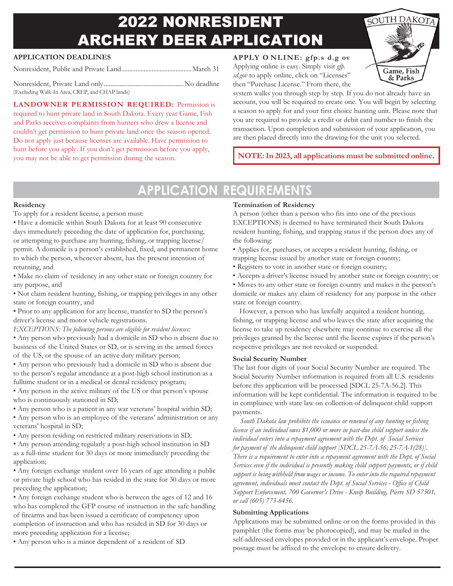# 2022 NONRESIDENT ARCHERY DEER APPLICATION

### **APPLICATION DEADLINES**

Nonresident, Public and Private Land............................................March 31

Nonresident, Private Land only..................................................No deadline (Excluding Walk-In Area, CREP, and CHAP lands)

**LANDOWNER PERMISSION REQUIRED:** Permission is required to hunt private land in South Dakota. Every year Game, Fish and Parks receives complaints from hunters who drew a license and couldn't get permission to hunt private land once the season opened. Do not apply just because licenses are available. Have permission to hunt before you apply. If you don't get permission before you apply, you may not be able to get permission during the season.

**APPLY O NLINE: gfp.s d.g ov** Applying online is easy. Simply visit *gfp. sd.gov* to apply online, click on "Licenses" then "Purchase License." From there, the



**NOTE:In 2023, all applications must be submitted online.**

### **APPLICATION REQUIREMENTS**

#### **Residency**

To apply for a resident license, a person must:

- Have a domicile within South Dakota for at least 90 consecutive days immediately preceding the date of application for, purchasing, or attempting to purchase any hunting, fishing, or trapping license/ permit. A domicile is a person's established, fixed, and permanent home to which the person, whenever absent, has the present intention of returning, and
- Make no claim of residency in any other state or foreign country for any purpose, and
- Not claim resident hunting, fishing, or trapping privileges in any other state or foreign country, and
- Prior to any application for any license, transfer to SD the person's driver's license and motor vehicle registrations.
- *EXCEPTIONS: The following persons are eligible for resident licenses:*
- Any person who previously had a domicile in SD who is absent due to business of the United States or SD, or is serving in the armed forces of the US, or the spouse of an active duty military person;
- Any person who previously had a domicile in SD who is absent due to the person's regular attendance at a post-high school institution as a fulltime student or in a medical or dental residency program;
- Any person in the active military of the US or that person's spouse who is continuously stationed in SD;
- Any person who is a patient in any war veterans' hospital within SD;
- Any person who is an employee of the veterans' administration or any veterans' hospital in SD;
- Any person residing on restricted military reservations in SD;
- Any person attending regularly a post-high school institution in SD as a full-time student for 30 days or more immediately preceding the application;
- Any foreign exchange student over 16 years of age attending a public or private high school who has resided in the state for 30 days or more preceding the application;
- Any foreign exchange student who is between the ages of 12 and 16 who has completed the GFP course of instruction in the safe handling of firearms and has been issued a certificate of competency upon completion of instruction and who has resided in SD for 30 days or more preceding application for a license;
- Any person who is a minor dependent of a resident of SD

### **Termination of Residency**

A person (other than a person who fits into one of the previous EXCEPTIONS) is deemed to have terminated their South Dakota resident hunting, fishing, and trapping status if the person does any of the following:

• Applies for, purchases, or accepts a resident hunting, fishing, or trapping license issued by another state or foreign country;

- Registers to vote in another state or foreign country;
- Accepts a driver's license issued by another state or foreign country; or

• Moves to any other state or foreign country and makes it the person's domicile or makes any claim of residency for any purpose in the other state or foreign country.

However, a person who has lawfully acquired a resident hunting, fishing, or trapping license and who leaves the state after acquiring the license to take up residency elsewhere may continue to exercise all the privileges granted by the license until the license expires if the person's respective privileges are not revoked or suspended.

#### **Social Security Number**

The last four digits of your Social Security Number are required. The Social Security Number information is required from all U.S. residents before this application will be processed [SDCL 25-7A-56.2]. This information will be kept confidential. The information is required to be in compliance with state law on collection of delinquent child support payments.

*South Dakota law prohibits the issuance or renewal of any hunting or fishing license if an individual owes \$1,000 or more in past-due child support unless the individual enters into a repayment agreement with the Dept. of Social Services for payment of the delinquent child support [SDCL 25-7A-56; 25-7A-1(28)]. There is a requirement to enter into a repayment agreement with the Dept. of Social Services even if the individual is presently making child support payments, or if child support is being withheld from wages or income. To enter into the required repayment agreement, individuals must contact the Dept. of Social Services - Office of Child Support Enforcement, 700 Governor's Drive - Kneip Building, Pierre SD 57501, or call (605) 773-6456.*

### **Submitting Applications**

Applications may be submitted online or on the forms provided in this pamphlet (the forms may be photocopied), and may be mailed in the self-addressed envelopes provided or in the applicant's envelope. Proper postage must be affixed to the envelope to ensure delivery.

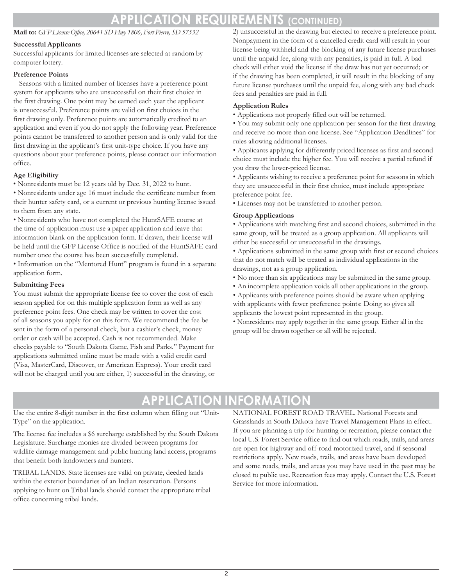### **APPLICATION REQUIREMENTS (CONTINUED)**

### **Mail to:** *GFPLicenseOffice, 20641 SD Hwy 1806, Fort Pierre, SD 57532*

### **Successful Applicants**

Successful applicants for limited licenses are selected at random by computer lottery.

### **Preference Points**

Seasons with a limited number of licenses have a preference point system for applicants who are unsuccessful on their first choice in the first drawing. One point may be earned each year the applicant is unsuccessful. Preference points are valid on first choices in the first drawing only. Preference points are automatically credited to an application and even if you do not apply the following year. Preference points cannot be transferred to another person and is only valid for the first drawing in the applicant's first unit-type choice. If you have any questions about your preference points, please contact our information office.

### **Age Eligibility**

• Nonresidents must be 12 years old by Dec. 31, 2022 to hunt.

• Nonresidents under age 16 must include the certificate number from their hunter safety card, or a current or previous hunting license issued to them from any state.

• Nonresidents who have not completed the HuntSAFE course at the time of application must use a paper application and leave that information blank on the application form. If drawn, their license will be held until the GFP License Office is notified of the HuntSAFE card number once the course has been successfully completed.

• Information on the "Mentored Hunt" program is found in a separate application form.

### **Submitting Fees**

You must submit the appropriate license fee to cover the cost of each season applied for on this multiple application form as well as any preference point fees. One check may be written to cover the cost of all seasons you apply for on this form. We recommend the fee be sent in the form of a personal check, but a cashier's check, money order or cash will be accepted. Cash is not recommended. Make checks payable to "South Dakota Game, Fish and Parks." Payment for applications submitted online must be made with a valid credit card (Visa, MasterCard, Discover, or American Express). Your credit card will not be charged until you are either, 1) successful in the drawing, or 2) unsuccessful in the drawing but elected to receive a preference point. Nonpayment in the form of a cancelled credit card will result in your license being withheld and the blocking of any future license purchases until the unpaid fee, along with any penalties, is paid in full. A bad check will either void the license if the draw has not yet occurred; or if the drawing has been completed, it will result in the blocking of any future license purchases until the unpaid fee, along with any bad check fees and penalties are paid in full.

### **Application Rules**

• Applications not properly filled out will be returned.

• You may submit only one application per season for the first drawing and receive no more than one license. See "Application Deadlines" for rules allowing additional licenses.

• Applicants applying for differently priced licenses as first and second choice must include the higher fee. You will receive a partial refund if you draw the lower-priced license.

• Applicants wishing to receive a preference point for seasons in which they are unsuccessful in their first choice, must include appropriate preference point fee.

• Licenses may not be transferred to another person.

### **Group Applications**

• Applications with matching first and second choices, submitted in the same group, will be treated as a group application. All applicants will either be successful or unsuccessful in the drawings.

• Applications submitted in the same group with first or second choices that do not match will be treated as individual applications in the drawings, not as a group application.

- No more than six applications may be submitted in the same group.
- An incomplete application voids all other applications in the group.

• Applicants with preference points should be aware when applying with applicants with fewer preference points: Doing so gives all applicants the lowest point represented in the group.

• Nonresidents may apply together in the same group. Either all in the group will be drawn together or all will be rejected.

### **APPLICATION INFORMATION**

Use the entire 8-digit number in the first column when filling out "Unit-Type" on the application.

The license fee includes a \$6 surcharge established by the South Dakota Legislature. Surcharge monies are divided between programs for wildlife damage management and public hunting land access, programs that benefit both landowners and hunters.

TRIBAL LANDS. State licenses are valid on private, deeded lands within the exterior boundaries of an Indian reservation. Persons applying to hunt on Tribal lands should contact the appropriate tribal office concerning tribal lands.

NATIONAL FOREST ROAD TRAVEL. National Forests and Grasslands in South Dakota have Travel Management Plans in effect. If you are planning a trip for hunting or recreation, please contact the local U.S. Forest Service office to find out which roads, trails, and areas are open for highway and off-road motorized travel, and if seasonal restrictions apply. New roads, trails, and areas have been developed and some roads, trails, and areas you may have used in the past may be closed to public use. Recreation fees may apply. Contact the U.S. Forest Service for more information.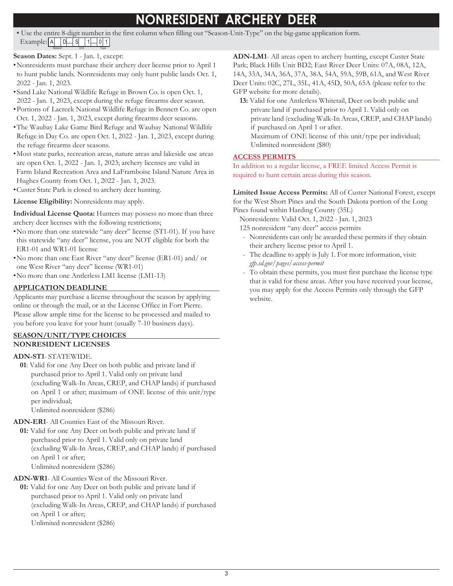## **NONRESIDENT ARCHERY DEER**

• Use the entire 8-digit number in the first column when filling out "Season-Unit-Type" on the big-game application form.  $Example: |A|$   $|D|$   $|S|$   $|1|$   $|0|1$ 

### **Season Dates:** Sept. 1 - Jan. 1, except:

Season Unit Type

- •Nonresidents must purchase their archery deer license prior to April 1 to hunt public lands. Nonresidents may only hunt public lands Oct. 1, 2022 - Jan. 1, 2023.
- •Sand Lake National Wildlife Refuge in Brown Co. is open Oct. 1, 2022 - Jan. 1, 2023, except during the refuge firearms deer season.
- •Portions of Lacreek National Wildlife Refuge in Bennett Co. are open Oct. 1, 2022 - Jan. 1, 2023, except during firearms deer seasons.
- •The Waubay Lake Game Bird Refuge and Waubay National Wildlife Refuge in Day Co. are open Oct. 1, 2022 - Jan. 1, 2023, except during the refuge firearms deer seasons.
- •Most state parks, recreation areas, nature areas and lakeside use areas are open Oct. 1, 2022 - Jan. 1, 2023; archery licenses are valid in Farm Island Recreation Area and LaFramboise Island Nature Area in Hughes County from Oct. 1, 2022 - Jan. 1, 2023.
- •Custer State Park is closed to archery deer hunting.

**License Eligibility:** Nonresidents may apply.

**Individual License Quota:** Hunters may possess no more than three archery deer licenses with the following restrictions;

- •No more than one statewide "any deer" license (ST1-01). If you have this statewide "any deer" license, you are NOT eligible for both the ER1-01 and WR1-01 license
- •No more than one East River "any deer" license (ER1-01) and/ or one West River "any deer" license (WR1-01)
- •No more than one Antlerless LM1 license (LM1-13)

### **APPLICATION DEADLINE**

Applicants may purchase a license throughout the season by applying online or through the mail, or at the License Office in Fort Pierre. Please allow ample time for the license to be processed and mailed to you before you leave for your hunt (usually 7-10 business days).

#### **SEASON/UNIT/TYPE CHOICES NONRESIDENT LICENSES**

### **ADN-ST1**- STATEWIDE.

**01**: Valid for one Any Deer on both public and private land if purchased prior to April 1. Valid only on private land (excluding Walk-In Areas, CREP, and CHAP lands) if purchased on April 1 or after; maximum of ONE license of this unit/type per individual;

Unlimited nonresident (\$286)

**ADN-ER1**- All Counties East of the Missouri River.

**01:** Valid for one Any Deer on both public and private land if purchased prior to April 1. Valid only on private land (excluding Walk-In Areas, CREP, and CHAP lands) if purchased on April 1 or after; Unlimited nonresident (\$286)

**ADN-WR1**- All Counties West of the Missouri River.

**01:** Valid for one Any Deer on both public and private land if purchased prior to April 1. Valid only on private land (excluding Walk-In Areas, CREP, and CHAP lands) if purchased on April 1 or after; Unlimited nonresident (\$286)

**ADN-LM1**- All areas open to archery hunting, except Custer State Park; Black Hills Unit BD2; East River Deer Units: 07A, 08A, 12A, 14A, 33A, 34A, 36A, 37A, 38A, 54A, 59A, 59B, 61A, and West River Deer Units: 02C, 27L, 35L, 41A, 45D, 50A, 65A (please refer to the GFP website for more details).

**13:** Valid for one Antlerless Whitetail, Deer on both public and private land if purchased prior to April 1. Valid only on private land (excluding Walk-In Areas, CREP, and CHAP lands) if purchased on April 1 or after. Maximum of ONE license of this unit/type per individual; Unlimited nonresident (\$80)

### **ACCESS PERMITS**

In addition to a regular license, a FREE limited Access Permit is required to hunt certain areas during this season.

**Limited Issue Access Permits:** All of Custer National Forest, except for the West Short Pines and the South Dakota portion of the Long Pines found within Harding County (35L)

Nonresidents: Valid Oct. 1, 2022 - Jan. 1, 2023

125 nonresident "any deer" access permits

- Nonresidents can only be awarded these permits if they obtain their archery license prior to April 1.
- The deadline to apply is July 1. For more information, visit: *gfp.sd.gov/pages/access-permit*
- To obtain these permits, you must first purchase the license type that is valid for these areas. After you have received your license, you may apply for the Access Permits only through the GFP website.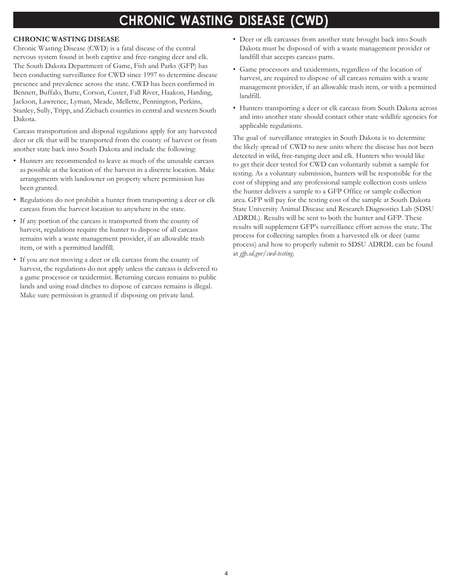### **CHRONIC WASTING DISEASE (CWD)**

#### **CHRONIC WASTING DISEASE**

Chronic Wasting Disease (CWD) is a fatal disease of the central nervous system found in both captive and free-ranging deer and elk. The South Dakota Department of Game, Fish and Parks (GFP) has been conducting surveillance for CWD since 1997 to determine disease presence and prevalence across the state. CWD has been confirmed in Bennett, Buffalo, Butte, Corson, Custer, Fall River, Haakon, Harding, Jackson, Lawrence, Lyman, Meade, Mellette, Pennington, Perkins, Stanley, Sully, Tripp, and Ziebach counties in central and western South Dakota.

Carcass transportation and disposal regulations apply for any harvested deer or elk that will be transported from the county of harvest or from another state back into South Dakota and include the following:

- Hunters are recommended to leave as much of the unusable carcass as possible at the location of the harvest in a discrete location. Make arrangements with landowner on property where permission has been granted.
- Regulations do not prohibit a hunter from transporting a deer or elk carcass from the harvest location to anywhere in the state.
- If any portion of the carcass is transported from the county of harvest, regulations require the hunter to dispose of all carcass remains with a waste management provider, if an allowable trash item, or with a permitted landfill.
- If you are not moving a deer or elk carcass from the county of harvest, the regulations do not apply unless the carcass is delivered to a game processor or taxidermist. Returning carcass remains to public lands and using road ditches to dispose of carcass remains is illegal. Make sure permission is granted if disposing on private land.
- Deer or elk carcasses from another state brought back into South Dakota must be disposed of with a waste management provider or landfill that accepts carcass parts.
- Game processors and taxidermists, regardless of the location of harvest, are required to dispose of all carcass remains with a waste management provider, if an allowable trash item, or with a permitted landfill.
- Hunters transporting a deer or elk carcass from South Dakota across and into another state should contact other state wildlife agencies for applicable regulations.

The goal of surveillance strategies in South Dakota is to determine the likely spread of CWD to new units where the disease has not been detected in wild, free-ranging deer and elk. Hunters who would like to get their deer tested for CWD can voluntarily submit a sample for testing. As a voluntary submission, hunters will be responsible for the cost of shipping and any professional sample collection costs unless the hunter delivers a sample to a GFP Office or sample collection area. GFP will pay for the testing cost of the sample at South Dakota State University Animal Disease and Research Diagnostics Lab (SDSU ADRDL). Results will be sent to both the hunter and GFP. These results will supplement GFP's surveillance effort across the state. The process for collecting samples from a harvested elk or deer (same process) and how to properly submit to SDSU ADRDL can be found at *gfp.sd.gov/cwd-testing*.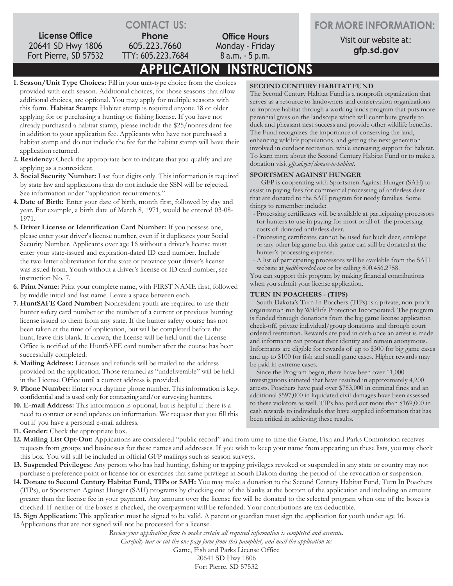**License Office** 20641 SD Hwy 1806 Fort Pierre, SD 57532 **CONTACT US: Office Hours** Monday - Friday 8 a.m. - 5 p.m.

**FOR MORE INFORMATION:**

Visit our website at: **gfp.sd.gov**

**APPLICATION INSTRUCTIONS** TTY: 605.223.7684

**1. Season/Unit Type Choices:** Fill in your unit-type choice from the choices provided with each season. Additional choices, for those seasons that allow additional choices, are optional. You may apply for multiple seasons with this form. **Habitat Stamp:** Habitat stamp is required anyone 18 or older applying for or purchasing a hunting or fishing license. If you have not already purchased a habitat stamp, please include the \$25/nonresident fee in addition to your application fee. Applicants who have not purchased a habitat stamp and do not include the fee for the habitat stamp will have their application returned.

**Phone** 605.223.7660

- **2.Residency:** Check the appropriate box to indicate that you qualify and are applying as a nonresident.
- **3. Social Security Number:** Last four digits only. This information is required by state law and applications that do not include the SSN will be rejected. See information under "application requirements."
- **4. Date of Birth:** Enter your date of birth, month first, followed by day and year. For example, a birth date of March 8, 1971, would be entered 03-08- 1971.
- **5. Driver License or Identification Card Number:** If you possess one, please enter your driver's license number, even if it duplicates your Social Security Number. Applicants over age 16 without a driver's license must enter your state-issued and expiration-dated ID card number. Include the two-letter abbreviation for the state or province your driver's license was issued from. Youth without a driver's license or ID card number, see instruction No. 7.
- **6. Print Name:** Print your complete name, with FIRST NAME first, followed by middle initial and last name. Leave a space between each.
- **7. HuntSAFE Card Number:** Nonresident youth are required to use their hunter safety card number or the number of a current or previous hunting license issued to them from any state. If the hunter safety course has not been taken at the time of application, but will be completed before the hunt, leave this blank. If drawn, the license will be held until the License Office is notified of the HuntSAFE card number after the course has been successfully completed.
- **8. Mailing Address:** Licenses and refunds will be mailed to the address provided on the application. Those returned as "undeliverable" will be held in the License Office until a correct address is provided.
- **9. Phone Number:** Enter your daytime phone number. Thisinformation is kept confidential and is used only for contacting and/or surveying hunters.
- **10. E-mail Address:** This information is optional, but is helpful if there is a need to contact or send updates on information. We request that you fill this out if you have a personal e-mail address.
- **11. Gender:** Check the appropriate box.

### **SECOND CENTURY HABITAT FUND**

The Second Century Habitat Fund is a nonprofit organization that serves as a resource to landowners and conservation organizations to improve habitat through a working lands program that puts more perennial grass on the landscape which will contribute greatly to duck and pheasant nest success and provide other wildlife benefits. The Fund recognizes the importance of conserving the land, enhancing wildlife populations, and getting the next generation involved in outdoor recreation, while increasing support for habitat. To learn more about the Second Century Habitat Fund or to make a donation visit *gfp.sd.gov/donate-to-habitat*.

#### **SPORTSMEN AGAINST HUNGER**

GFP is cooperating with Sportsmen Against Hunger (SAH) to assist in paying fees for commercial processing of antlerless deer that are donated to the SAH program for needy families. Some things to remember include:

- Processing certificates will be available at participating processors for hunters to use in paying for most or all of the processing costs of donated antlerless deer.
- Processing certificates cannot be used for buck deer, antelope or any other big game but this game can still be donated at the hunter's processing expense.
- -A list of participating processors will be available from the SAH website at *feedtheneedsd.com* or by calling 800.456.2758.

You can support this program by making financial contributions when you submit your license application.

### **TURN IN POACHERS - (TIPS)**

South Dakota's Turn In Poachers (TIPs) is a private, non-profit organization run by Wildlife Protection Incorporated. The program is funded through donations from the big game license application check-off, private individual/group donations and through court ordered restitution. Rewards are paid in cash once an arrest is made and informants can protect their identity and remain anonymous. Informants are eligible for rewards of up to \$300 for big game cases and up to \$100 for fish and small game cases. Higher rewards may be paid in extreme cases.

Since the Program began, there have been over 11,000 investigations initiated that have resulted in approximately 4,200 arrests. Poachers have paid over \$783,000 in criminal fines and an additional \$597,000 in liquidated civil damages have been assessed to these violators as well. TIPs has paid out more than \$169,000 in cash rewards to individuals that have supplied information that has been critical in achieving these results.

- **12. Mailing List Opt-Out:** Applications are considered "public record" and from time to time the Game, Fish and Parks Commission receives requests from groups and businesses for these names and addresses. If you wish to keep your name from appearing on these lists, you may check this box. You will still be included in official GFP mailings such as season surveys.
- **13. Suspended Privileges:** Any person who has had hunting, fishing or trapping privileges revoked or suspended in any state or country may not purchase a preference point or license for or exercises that same privilege in South Dakota during the period of the revocation or suspension.
- **14. Donate to Second Century Habitat Fund, TIPs or SAH:** You may make a donation to the Second Century Habitat Fund, Turn In Poachers (TIPs), or Sportsmen Against Hunger (SAH) programs by checking one of the blanks at the bottom of the application and including an amount greater than the license fee in your payment. Any amount over the license fee will be donated to the selected program when one of the boxes is checked. If neither of the boxes is checked, the overpayment will be refunded. Your contributions are tax deductible.
- **15. Sign Application:** This application must be signed to be valid. A parent or guardian must sign the application for youth under age 16. Applications that are not signed will not be processed for a license.

*Review your application form to make certain all required information is completed and accurate.*

*Carefully tear or cut the one page form from this pamphlet, and mail the application to:*

Game, Fish and Parks License Office 20641 SD Hwy 1806 Fort Pierre, SD 57532